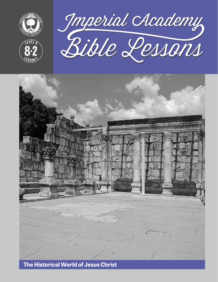

**<sup>L</sup>ES<sup>S</sup> <sup>O</sup> <sup>N</sup> <sup>2</sup>**

**8 2**





**The Historical World of Jesus Christ**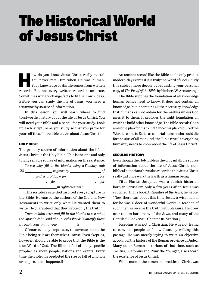# The Historical World of Jesus Christ

**How do you know Jesus Christ really exists?**<br>You never met Him when He was human.<br>Your knowledge of His life comes from written You never met Him when He was human. Your knowledge of His life comes from written records. But not every written record is accurate. Sometimes writers change facts to fit their own ideas. Before you can study the life of Jesus, you need a trustworthy source of information.

In this lesson, you will learn where to find trustworthy history about the life of Jesus Christ. You will need your Bible and a pencil for your study. Look up each scripture as you study so that you prove for yourself these incredible truths about Jesus Christ!

#### HOLY BIBLE

The primary source of information about the life of Jesus Christ is the Holy Bible. This is the one and only totally reliable source of information on His existence.

|      | To see why, fill in the blanks using 2 Timothy 3:16:                                                                                                                                                                                                                                                                                                                                                                              |       |
|------|-----------------------------------------------------------------------------------------------------------------------------------------------------------------------------------------------------------------------------------------------------------------------------------------------------------------------------------------------------------------------------------------------------------------------------------|-------|
| "All | $\frac{1}{\sqrt{1-\frac{1}{\sqrt{1-\frac{1}{\sqrt{1-\frac{1}{\sqrt{1-\frac{1}{\sqrt{1-\frac{1}{\sqrt{1-\frac{1}{\sqrt{1-\frac{1}{\sqrt{1-\frac{1}{\sqrt{1-\frac{1}{\sqrt{1-\frac{1}{\sqrt{1-\frac{1}{\sqrt{1-\frac{1}{\sqrt{1-\frac{1}{\sqrt{1-\frac{1}{\sqrt{1-\frac{1}{\sqrt{1-\frac{1}{\sqrt{1-\frac{1}{\sqrt{1-\frac{1}{\sqrt{1-\frac{1}{\sqrt{1-\frac{1}{\sqrt{1-\frac{1}{\sqrt{1-\frac{1}{\sqrt{1-\frac{1}{\sqrt{1-\frac{1$ |       |
|      | $\Box$ , and is profitable for $\Box$                                                                                                                                                                                                                                                                                                                                                                                             | , for |
|      | $\frac{1}{\sqrt{r}}$ for $\frac{1}{\sqrt{r}}$                                                                                                                                                                                                                                                                                                                                                                                     | for   |
|      | in righteousness."                                                                                                                                                                                                                                                                                                                                                                                                                |       |

This scripture says God inspired every scripture in the Bible. He caused the authors of the Old and New Testaments to write only what He wanted them to write. He guaranteed that they wrote only the truth!

*Turn to John 17:17 and fill in the blanks to see what the Apostle John said about God's Word: "Sanctify them through your truth: your \_\_\_\_\_\_\_\_\_\_ is \_\_\_\_\_\_\_\_\_\_\_.*"

Of course, many skeptics say these verses about the Bible being true are themselves untrue. Even skeptics, however, should be able to prove that the Bible is the true Word of God. The Bible is full of many specific prophecies about people, nations and events. Every time the Bible has predicted the rise or fall of a nation or empire, it has happened!

An ancient record like the Bible could only predict modern-day events if it is truly the Word of God. (Study this subject more deeply by requesting your personal copy of *The Proof of the Bible* by Herbert W. Armstrong.)

The Bible supplies the foundation of all knowledge human beings need to know. It does not contain all knowledge, but it contains all the necessary knowledge that humans cannot obtain for themselves unless God gives it to them. It provides the right foundation on which to build other knowledge. The Bible reveals God's awesome plan for mankind. Since this plan required the Word to come to Earth as a mortal human who could die for the sins of all mankind, the Bible reveals everything humanity needs to know about the life of Jesus Christ!

#### SECULAR HISTORY

Even though the Holy Bible is the only infallible source of information about the life of Jesus Christ, nonbiblical historians have also recorded that Jesus Christ really did once walk the Earth as a human being.

Titus Flavius Josephus was a Jewish historian born in Jerusalem only a few years after Jesus was crucified. In his book *Antiquities of the Jews,* he wrote: "Now there was about this time Jesus, a wise man … for he was a doer of wonderful works, a teacher of such men as receive the truth with pleasure. He drew over to him both many of the Jews, and many of the Gentiles" (Book xvIII, Chapter III, Section 3).

Josephus was not a Christian. He was not trying to convince people to follow Jesus by writing this passage. He was merely trying to write an objective account of the history of the Roman province of Judea. Many other Roman historians of that time, such as Tacitus, Suetonius and Pliny the Younger, also record the existence of Jesus Christ.

While none of these men believed Jesus Christ was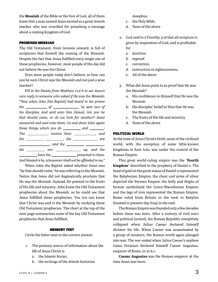the **Messiah** of the Bible or the Son of God, all of them knew that a man named Jesus existed as a great Jewish teacher who was crucified for preaching a message about a coming Kingdom of God.

#### PROMISED MESSIAH

The Old Testament, from Genesis onward, is full of scriptures that foretell the coming of the Messiah. Despite the fact that Jesus fulfilled every single one of these prophecies, however, most people of His day did not believe He was the Christ.

Even most people today don't believe, so how can you be sure Christ was the Messiah and not just a wise teacher?

*Fill in the blanks from Matthew 11:2-6 to see Jesus's own reply to someone who asked if He was the Messiah:*  **"***Now when John [the Baptist] had heard in the prison the* <u>contact of</u> of <u>contact of</u> *ne sent two of his disciples, And said unto him [Jesus], Are you he that should come, or do we look for another? Jesus answered and said unto them, Go and show John again those things which you do*  $\frac{1}{\sqrt{a^2 + 4ac}}$  *and*  $\frac{1}{\sqrt{a^2 + 4ac}}$ *:* The \_\_\_\_\_\_\_\_\_\_\_\_ receive their \_\_\_\_\_\_\_\_\_\_\_, and  $the$   $\frac{1}{\sqrt{1-\frac{1}{2}}}\frac{1}{\sqrt{1-\frac{1}{2}}}\frac{1}{\sqrt{1-\frac{1}{2}}}\frac{1}{\sqrt{1-\frac{1}{2}}}\frac{1}{\sqrt{1-\frac{1}{2}}}\frac{1}{\sqrt{1-\frac{1}{2}}}\frac{1}{\sqrt{1-\frac{1}{2}}}\frac{1}{\sqrt{1-\frac{1}{2}}}\frac{1}{\sqrt{1-\frac{1}{2}}}\frac{1}{\sqrt{1-\frac{1}{2}}}\frac{1}{\sqrt{1-\frac{1}{2}}}\frac{1}{\sqrt{1-\frac{1}{2}}}\frac{1}{\sqrt{1-\frac{1}{2}}}\frac{1}{\sqrt{$ *dimensional manufacture and the <u>contract of the state</u>*  $\frac{1}{2}$ *, and the <i>state of the state of the state*  $\frac{1}{2}$ , *the* \_\_\_\_\_\_\_\_\_\_ are \_\_\_\_\_\_\_\_\_\_\_\_\_\_\_ up, and the *have the <u>secreen preached</u> to them.* 

*And blessed is he, whosoever shall not be offended in me."*

When John the Baptist asked whether Jesus was "he that should come," he was referring to the Messiah. Notice that Jesus did not dogmatically proclaim that He was the Messiah. Instead, He pointed to the fruits of His life and ministry. John knew the Old Testament prophecies about the Messiah, so he could see that Jesus fulfilled these prophecies. You too can know that Christ was and is the Messiah by studying these Old Testament prophecies. The chart at the top of the next page summarizes some of the key Old Testament prophecies that Jesus fulfilled.

#### MEMORY TEST

Circle the letter next to the correct answer.

- 1. The primary source of information about the life of Jesus Christ is
	- a. the Islamic Koran.
	- b. the writings of the Jewish historian

Josephus.

- c. the Holy Bible.
- d. None of the above
- 2. God said in 2 Timothy 3:16 that all scripture is given by inspiration of God, and is profitable for
	- a. doctrine.
	- b. reproof.
	- c. correction.
	- d. instruction in righteousness.
	- e. All of the above
- 3. What did Jesus point to as proof that He was the Messiah?
	- a. His confidence in Himself that He was the Messiah
	- b. His disciples' belief in Him that He was the Messiah
	- c. The fruits of His life and ministry
	- d. None of the above

#### POLITICAL WORLD

At the time of Jesus Christ's birth, most of the civilized world, with the exception of some little-known kingdoms in East Asia, was under the control of the Roman Empire.

This great world-ruling empire was the "**fourth kingdom**" described in the prophecy of Daniel 2. The head of gold on the great statue of Daniel 2 represented the Babylonian Empire; the chest and arms of silver depicted the Persian Empire; the belly and thighs of bronze symbolized the Greco-Macedonian Empire; and the legs of iron represented the Roman Empire. Rome ruled from Britain in the west to Babylon (located in present-day Iraq) in the east.

The Roman Empire was founded only a few decades before Jesus was born. After a century of civil wars and political turmoil, the Roman Republic completely collapsed when Julius Caesar declared himself dictator for life. When Caesar was assassinated by a group of senators, the Roman world again plunged into war. The war ended when Julius Caesar's nephew Gaius Octavian declared himself Caesar Augustus, emperor of Rome, in 27 b.c.

**Caesar Augustus** was the Roman emperor at the time Jesus was born.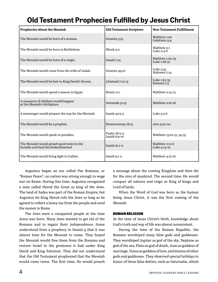### **Old Testament Prophecies Fulfilled by Jesus Christ**

| <b>Prophecies About the Messiah</b>                                            | <b>Old Testament Scripture</b>  | <b>New Testament Fulfillment</b> |
|--------------------------------------------------------------------------------|---------------------------------|----------------------------------|
| The Messiah would be born of a woman.                                          | Genesis 3:15                    | Matthew 1:20<br>Galatians 4:4    |
| The Messiah would be born in Bethlehem.                                        | Micah 5:2                       | Matthew 2:1<br>Luke 2:4-6        |
| The Messiah would be born of a virgin.                                         | Isaiah 7:14                     | Matthew 1:22-23<br>Luke 1:26-31  |
| The Messiah would come from the tribe of Judah.                                | Genesis 49:10                   | Luke 3:33<br>Hebrews 7:14        |
| The Messiah would be heir to King David's throne.                              | 2Samuel 7:12-13                 | Luke 1:32-33<br>Romans 1:3       |
| The Messiah would spend a season in Egypt.                                     | Hosea 11:1                      | Matthew 2:14-15                  |
| A massacre of children would happen<br>at the Messiah's birthplace.            | Jeremiah 31:15                  | Matthew 2:16-18                  |
| A messenger would prepare the way for the Messiah.                             | Isaiah $40:3-5$                 | Luke 3:3-6                       |
| The Messiah would be a prophet.                                                | Deuteronomy 18:15               | Acts 3:20-22                     |
| The Messiah would speak in parables.                                           | Psalm 78:2-4<br>Isaiah $6:9-10$ | Matthew 13:10-15, 34-35          |
| The Messiah would preach good news to the<br>humble and heal the brokenhearted | $Isa$ iah $61:1-2$              | Matthew 11:2-6<br>Luke 4:14-21   |
| The Messiah would bring light to Galilee.                                      | Isaiah $9:1-2$                  | Matthew 4:13-16                  |

Augustus began an era called Pax Romana, or "Roman Peace"; no nation was strong enough to wage war on Rome. During this time, Augustus recognized a man called Herod the Great as king of the Jews. The land of Judea was part of the Roman Empire, but Augustus let King Herod rule the Jews so long as he agreed to collect a heavy tax from the people and send the money to Rome.

The Jews were a conquered people at the time Jesus was born. Many Jews wanted to get rid of the Romans and to regain their independence. Some understood from a prophecy in Daniel 9 that it was almost time for the Messiah to come. They hoped the Messiah would free them from the Romans and restore Israel to the greatness it had under King David and King Solomon. They did not understand that the Old Testament prophesied that the Messiah would come twice. The first time, He would preach

a message about the coming Kingdom and then die for the sins of mankind. The second time, He would conquer all nations and reign as King of kings and Lord of lords.

When the Word of God was born as the human being Jesus Christ, it was the first coming of the Messiah.

#### ROMAN RELIGION

At the time of Jesus Christ's birth, knowledge about God's truth and way of life was almost nonexistent.

During the time of the Roman Republic, the Romans worshiped many false gods and goddesses. They worshiped Jupiter as god of the sky, Neptune as god of the sea, Pluto as god of death, Juno as goddess of marriage, Venus as goddess of love, and dozens of other gods and goddesses. They observed special holidays in honor of these false deities, such as Saturnalia, which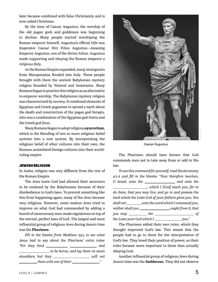later became combined with false Christianity and is now called Christmas.

By the time of Caesar Augustus, the worship of the old pagan gods and goddesses was beginning to decline. Many people started worshiping the Roman emperor himself. Augustus's official title was Imperator Caesar Divi Filius Augustus—meaning Emperor Augustus, son of the divine Julius. Augustus made supporting and obeying the Roman emperor a *religious* duty.

As the Roman Empire expanded, many immigrants from Mesopotamia flooded into Italy. These people brought with them the ancient Babylonian mystery religion founded by Nimrod and Semiramis. Many Romans began to practice this religion as an alternative to emperor worship. The Babylonian mystery religion was characterized by secrecy. It combined elements of Egyptian and Greek paganism to spread a myth about the death and resurrection of the pagan god Serapis, who was a combination of the Egyptian god Osiris and the Greek god Zeus.

Many Romans began to adopt religious **syncretism**, which is the blending of two or more religious belief systems into a new system. By incorporating the religious belief of other cultures into their own, the Romans assimilated foreign cultures into their worldruling empire.

#### JEWISH RELIGION

In Judea, religion was very different from the rest of the Roman Empire.

The Jews knew God had allowed their ancestors to be enslaved by the Babylonians because of their disobedience to God's laws. To prevent something like this from happening again, many of the Jews became very religious. However, some zealous Jews tried to improve on what God had commanded by adding a bunch of unnecessary man-made regulations on top of the eternal, perfect laws of God. The largest and most influential group of religious Jews during Jesus's time was the **Pharisees**.

*Fill in the blanks from Matthew 23:4 to see what Jesus had to say about the Pharisees' extra rules: "For they bind and to be borne, and lay them on men's shoulders; but they* \_\_\_\_\_\_\_\_\_\_\_\_\_\_\_\_\_\_\_\_\_\_ *will not* 

*them with one of their* \_\_\_\_\_\_\_\_\_\_\_\_\_\_\_\_."



Caesar Augustus

The Pharisees should have known that God commands men not to take away from or add to His law.

*To see this command for yourself, read Deuteronomy 4:1-2 and fill in the blanks: "Now therefore hearken, O Israel, unto the* \_\_\_\_\_\_\_\_\_\_\_\_\_\_\_\_\_\_\_ and unto the *, which I [God] teach you, for to do them, that you may live, and go in and possess the land which the Lord God of your fathers gives you. You shall not unto the word which I command you, neither shall you* \_\_\_\_\_\_\_\_\_\_\_\_\_\_\_\_\_\_\_\_\_\_ought from it, that *you may the of the Lord your God which I* \_\_\_\_\_\_\_\_\_\_\_\_\_\_\_\_\_\_\_\_\_\_\_*you.*"

The Pharisees added their own rules, which they thought improved God's law. This meant that the people had to go to them for the interpretation of God's law. They loved their position of power, so their rules became more important to them than actually obeying God.

Another influential group of religious Jews during Jesus's time was the **Sadducees**. They did not observe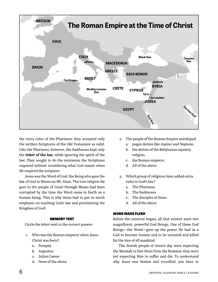

the extra rules of the Pharisees; they accepted only the written Scriptures of the Old Testament as valid. Like the Pharisees, however, the Sadducees kept only the **letter of the law**, while ignoring the spirit of the law. They sought to do the minimum the Scriptures required without considering what God meant when He inspired the scripture.

Jesus was the Word of God, the Being who gave the law of God to Moses on Mt. Sinai. The true religion He gave to the people of Israel through Moses had been corrupted by the time the Word came to Earth as a human being. This is why Jesus had to put so much emphasis on teaching God's law and proclaiming the Kingdom of God!

#### MEMORY TEST

Circle the letter next to the correct answer.

- 1. Who was the Roman emperor when Jesus Christ was born?
	- a. Pompey
	- b. Augustus
	- c. Julius Caesar
	- d. None of the above
- 2. The people of the Roman Empire worshiped
	- a. pagan deities like Jupiter and Neptune.
	- b. the deities of the Babylonian mystery religion.
	- c. the Roman emperor.
	- d. All of the above
- 3. Which group of religious Jews added extra rules to God's law?
	- a. The Pharisees
	- b. The Sadducees
	- c. The disciples of Jesus
	- d. All of the above

#### WORD MADE FLESH

Before the universe began, all that existed were two magnificent, powerful God Beings. One of these God Beings—the Word—gave up the power He had as a God to become human and to be tortured and killed for the sins of all mankind.

The Jewish people of Jesus's day were expecting the Messiah to free them from the Romans; they were not expecting Him to suffer and die. To understand why Jesus was beaten and crucified, you have to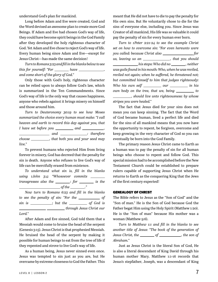understand God's plan for mankind.

Long before Adam and Eve were created, God and the Word devised an awesome plan to create more God Beings. If Adam and Eve had chosen God's way of life, they could have become spirit beings in the God Family after they developed the holy righteous character of God. Yet Adam and Eve chose to reject God's way of life. Every human being since Adam and Eve—except for Jesus Christ—has made the same decision!

*Turn to Romans 3:23 and fill in the blanks below to see this for yourself: "For \_\_\_\_\_\_\_ have \_\_\_\_\_\_\_\_\_\_, and come short of the glory of God."*

Only those with God's holy, righteous character can be relied upon to always follow God's law, which is summarized in the Ten Commandments. Since God's way of life is the only way that causes happiness, anyone who rebels against it brings misery on himself and those around him.

*Turn to Deuteronomy 30:19 to see how Moses summarized the choice every human must make: "I call heaven and earth to record this day against you, that I have set before you* \_\_\_\_\_\_\_\_\_\_\_\_ and \_\_\_\_\_\_\_\_\_\_\_\_,  *and : therefore choose , that both you and your seed may live."*

To prevent humans who rejected Him from living forever in misery, God has decreed that the penalty for sin is death. Anyone who refuses to live God's way of life can be mercifully erased from existence.

*To understand what sin is, fill in the blanks using 1 John 3:4: "Whosoever commits transgresses also the*  $\frac{1}{\sqrt{2\pi}}$  *is the of the ."*

*Now turn to Romans 6:23 and fill in the blanks to see the penalty of sin: "For the \_\_\_\_\_\_\_\_\_\_\_\_ of sin is* \_\_\_\_\_\_\_\_\_; but the \_\_\_\_\_\_\_\_\_\_\_ of God is  *through Jesus Christ our* 

#### *Lord."*

After Adam and Eve sinned, God told them that a Messiah would come to bruise the head of the serpent (Genesis 3:15). Jesus Christ is that prophesied Messiah. He bruised the head of the serpent by making it possible for human beings to eat from the tree of life if they repented and strove to live God's way of life.

As a human being, Jesus never sinned even once. Jesus was tempted to sin just as you are, but He overcame by extreme closeness to God the Father. This meant that He did not have to die to pay the penalty for His own sins. But He voluntarily chose to die for the sins of everyone else, including you. Since Jesus was Creator of all mankind, His life was so valuable it could pay the penalty of sin for every human ever born.

*Turn to 1 Peter 2:21-24 to see the example Christ set on how to overcome sin: "For even hereunto were you called: because Christ also for us, leaving us an \_\_\_\_\_\_\_\_\_\_\_\_\_, that you should his steps: Who did no , neither was guile found in his mouth: Who, when he was reviled, reviled not again; when he suffered, he threatened not; but committed himself to him that judges righteously: Who his own self* \_\_\_\_\_\_\_\_\_\_ *our* \_\_\_\_\_\_\_\_\_ *in his own body on the tree, that we, being* \_\_\_\_\_\_\_\_\_ to *, should live unto righteousness: by whose stripes you were healed."*

The fact that Jesus died for your sins does not mean you can keep sinning. The fact that the Word of God became human, lived a perfect life and died for the sins of all mankind means that you now have the opportunity to repent, be forgiven, overcome and keep growing in the very character of God so you can eventually be born into the God Family.

The primary reason Jesus Christ came to Earth as a human was to pay the penalty of sin for all human beings who choose to repent and follow God. This special mission had to be accomplished before the New Testament Church could be established to prepare rulers capable of supporting Jesus Christ when He returns to Earth as the conquering King that the Jews of the first century expected!

#### GENEALOGY OF CHRIST

The Bible refers to Jesus as the "Son of God" and the "Son of man." He is the Son of God because God the Father begat Him using the Holy Spirit (Matthew 1:20). He is the "Son of man" because His mother was a woman (Matthew 9:6).

*Turn to Matthew 1:1 and fill in the blanks to see another title of Jesus: "The book of the generation of Jesus Christ, the* \_\_\_\_\_\_\_\_ of \_\_\_\_\_\_\_\_\_\_, the son of *Abraham."*

Just as Jesus Christ is the literal Son of God, He is also a literal descendant of King David through his human mother Mary. Matthew 1:1-16 records that Jesus's stepfather, Joseph, was a descendant of King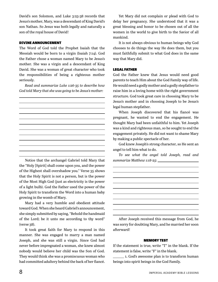David's son Solomon, and Luke 3:23-38 records that Jesus's mother, Mary, was a descendant of King David's son Nathan. So Jesus was both legally and naturally a son of the royal house of David!

#### DIVINE ANNOUNCEMENT

The Word of God told the Prophet Isaiah that the Messiah would be born to a virgin (Isaiah 7:14). God the Father chose a woman named Mary to be Jesus's mother. She was a virgin and a descendant of King David. She was a woman of great character who took the responsibilities of being a righteous mother seriously.

*Read and summarize Luke 1:26-35 to describe how God told Mary that she was going to be Jesus's mother:* 

Notice that the archangel Gabriel told Mary that the "Holy [Spirit] shall come upon you, and the power of the Highest shall overshadow you." Verse 35 shows that the Holy Spirit is not a person, but is the power of the Most High God (just as electricity is the power of a light bulb). God the Father used the power of the Holy Spirit to transform the Word into a human baby growing in the womb of Mary.

Mary had a very humble and obedient attitude toward God. When she heard Gabriel's announcement, she simply submitted by saying, "Behold the handmaid of the Lord; be it unto me according to thy word" (verse 38).

It took great faith for Mary to respond in this manner. She was engaged to marry a man named Joseph, and she was still a virgin. Since God had never before impregnated a woman, she knew almost nobody would believe her child was the Son of God. They would think she was a promiscuous woman who had committed adultery behind the back of her fiancé.

Yet Mary did not complain or plead with God to delay her pregnancy. She understood that it was a great blessing and honor to be chosen out of all the women in the world to give birth to the Savior of all mankind.

It is not always obvious to human beings why God chooses to do things the way He does them, but you must faithfully submit to what God does in the same way that Mary did.

#### LEGAL FATHER

God the Father knew that Jesus would need good parents to teach Him about the God Family way of life. He would need a godly mother and a godly stepfather to raise him in a loving home with the right government structure. God took great care in choosing Mary to be Jesus's mother and in choosing Joseph to be Jesus's legal human stepfather.

When Joseph discovered that his fiancé was pregnant, he wanted to end the engagement. He thought Mary had been unfaithful to him. Yet Joseph was a kind and righteous man, so he sought to end the engagement privately. He did not want to shame Mary by making a public spectacle of her.

God knew Joseph's strong character, so He sent an angel to tell him what to do.

*To see what the angel told Joseph, read and summarize Matthew 1:18-25:* 

After Joseph received this message from God, he was sorry for doubting Mary, and he married her soon afterward!

#### MEMORY TEST

If the statement is true, write "T" in the blank. If the statement is false, write "F" in the blank.

1. God's awesome plan is to transform human beings into spirit beings in the God Family.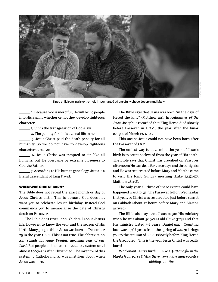

zoellner/iabl

Since child rearing is extremely important, God carefully chose Joseph and Mary.

 2. Because God is merciful, He will bring people into His Family whether or not they develop righteous character.

3. Sin is the transgression of God's law.

4. The penalty for sin is eternal life in hell.

5. Jesus Christ paid the death penalty for all humanity, so we do not have to develop righteous character ourselves.

 6. Jesus Christ was tempted to sin like all humans, but He overcame by extreme closeness to God the Father.

 7. According to His human genealogy, Jesus is a literal descendant of King David.

#### WHEN WAS CHRIST BORN?

The Bible does not reveal the exact month or day of Jesus Christ's birth. This is because God does not want you to celebrate Jesus's birthday. Instead God commands you to memorialize the date of Christ's death on Passover.

The Bible does reveal enough detail about Jesus's life, however, to know the year and the season of His birth. Many people think Jesus was born on December 25 in the year A.D. 1. This is not true. The abbreviation a.d. stands for *Anno Domini*, meaning *year of our*  Lord. But people did not use the A.D./B.C. system until almost 500 years after Christ died. The inventor of this system, a Catholic monk, was mistaken about when Jesus was born.

The Bible says that Jesus was born "in the days of Herod the king" (Matthew 2:1). In *Antiquities of the Jews*, Josephus recorded that King Herod died shortly before Passover in 3 b.c., the year after the lunar eclipse of March 13, 4 b.c.

This means Jesus could not have been born after the Passover of 3 b.c.

The easiest way to determine the year of Jesus's birth is to count backward from the year of His death. The Bible says that Christ was crucified on Passover afternoon; He was dead for three days and three nights; and He was resurrected before Mary and Martha came to visit His tomb Sunday morning (Luke 23:52-56; Matthew 28:1-8).

The only year all three of these events could have happened was A.D. 31. The Passover fell on Wednesday that year, so Christ was resurrected just before sunset on Sabbath (about 12 hours before Mary and Martha arrived).

The Bible also says that Jesus began His ministry when he was about 30 years old (Luke 3:23) and that His ministry lasted 3½ years (Daniel 9:27). Counting backward  $33\frac{1}{2}$  years from the spring of A.D. 31 brings you to the autumn of 4 b.c. (shortly before King Herod the Great died). This is the year Jesus Christ was really born!

*Read about Jesus's birth in Luke 2:4-18 and fill in the blanks from verse 8: "And there were in the same country <u>abiding</u> in the \_\_\_\_\_\_\_\_\_,*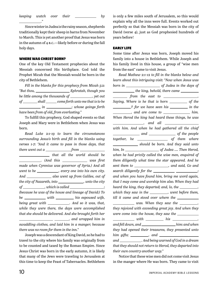*keeping watch over their* \_\_\_\_\_\_\_\_\_\_\_ by

Since winter in Judea is the rainy season, shepherds traditionally kept their sheep in barns from November to March. This is yet another proof that Jesus was born in the autumn of 4 b.c.—likely before or during the fall holy days.

#### WHERE WAS CHRIST BORN?

*."*

One of the key Old Testament prophecies about the Messiah concerned His birthplace. God told the Prophet Micah that the Messiah would be born in the city of Bethlehem.

*Fill in the blanks for this prophecy from Micah 5:2: "But thou, Ephratah, though you be little among the thousands of \_\_\_\_\_\_\_\_\_*, yet out *of* \_\_\_\_\_\_\_\_ shall \_\_\_\_\_\_ come forth unto me that is to be  *in ; whose goings forth have been from of old, from everlasting."*

To fulfill this prophecy, God shaped events so that Joseph and Mary were in Bethlehem when Jesus was born.

*Read Luke 2:1-19 to learn the circumstances surrounding Jesus's birth and fill in the blanks using verses 1-7: "And it came to pass in those days, that there went out a from that all the world should be . (And this was first was first made when Cyrenius was governor of Syria.) And all went to be* \_\_\_\_\_\_\_\_\_\_\_, every one into his own city. *And* \_\_\_\_\_\_\_\_\_\_\_\_\_\_ also went up from Galilee, out of *the city of Nazareth, into , unto the city of* \_\_\_\_\_\_\_\_\_\_\_, which is called \_\_\_\_\_\_\_\_\_\_\_\_\_\_\_\_\_; *(because he was of the house and lineage of David:) To be* \_\_\_\_\_\_\_\_\_\_\_ with \_\_\_\_\_\_\_\_\_ his espoused wife, *being great with* \_\_\_\_\_\_\_\_\_\_\_\_\_. And so it was, that, *while they were there, the days were accomplished that she should be delivered. And she brought forth her , and wrapped him in swaddling clothes, and laid him in a manger; because there was no room for them in the inn."*

Joseph was a descendant of King David, so he had to travel to the city where his family was originally from to be counted and taxed by the Roman Empire. Since Jesus Christ was born in the early autumn, it is likely that many of the Jews were traveling to Jerusalem at this time to keep the Feast of Tabernacles. Bethlehem is only a few miles south of Jerusalem, so this would explain why all the inns were full. Events worked out perfectly so that the Messiah was born in the city of David (verse 4), just as God prophesied hundreds of years before!

#### EARLY LIFE

Some time after Jesus was born, Joseph moved his family into a house in Bethlehem. While Joseph and his family lived in this house, a group of "wise men from the east" came to visit Jesus.

*Read Mathew 2:1-12 to fill in the blanks below and learn about this intriguing visit: "Now when Jesus was born in of Judea in the days of the king, behold, there came <u><i><u></u>*</u>  *from the east to , Saying, Where is he that is born* \_\_\_\_\_\_\_\_\_\_\_ of the *Propersiffs 2.1 In the seen his \_\_\_\_\_\_\_\_* in the *main, and are come to <u>example</u> him. When Herod the king had heard these things, he was , and all with him. And when he had gathered all the chief*  **and** <u>and</u> of the people *together, he of them where should be born. And they said unto him, In of Judea …. Then Herod, when he had privily called the wise men, enquired of them diligently what time the star appeared. And he sent them to , and said, Go and search diligently for the* \_\_\_\_\_\_\_\_\_\_\_\_\_\_\_\_\_\_\_\_\_\_\_\_\_; *and when you have found him, bring me word again, that I may come and worship him also. When they had heard the king, they departed; and, lo, the* \_\_\_\_\_\_\_\_\_\_, *which they saw in the \_\_\_\_\_\_\_*, went before them, *till it came and stood over where the*  **was.** When they saw the *, and was.* When they saw the  $\frac{1}{2}$ , *they rejoiced with exceeding great joy. And when they were come into the house, they saw the with his , and fell down, and* \_\_\_\_\_\_\_\_\_\_\_\_\_\_\_\_\_\_\_\_him: and when *they had opened their treasures, they presented unto him gifts; , and and . And being warned of God in a dream that they should not return to Herod, they departed into their own country another way."*

Notice that these wise men did not come visit Jesus in the manger where He was born. They came to visit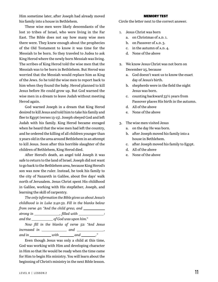Him sometime later, after Joseph had already moved his family into a house in Bethlehem.

These wise men were likely descendants of the lost 10 tribes of Israel, who were living in the Far East. The Bible does not say how many wise men there were. They knew enough about the prophecies of the Old Testament to know it was time for the Messiah to be born. So they traveled to Judea to ask King Herod where the newly born Messiah was living. The scribes of King Herod told the wise men that the Messiah was to be born in Bethlehem. But Herod was worried that the Messiah would replace him as King of the Jews. So he told the wise men to report back to him when they found the baby. Herod planned to kill Jesus before He could grow up. But God warned the wise men in a dream to leave Judah without meeting Herod again.

God warned Joseph in a dream that King Herod desired to kill Jesus and told him to take his family and flee to Egypt (verses 13-15). Joseph obeyed God and left Judah with his family. King Herod became enraged when he heard that the wise men had left the country, and he ordered the killing of all children younger than 2 years old in the area around Bethlehem in an attempt to kill Jesus. Soon after this horrible slaughter of the children of Bethlehem, King Herod died.

After Herod's death, an angel told Joseph it was safe to return to the land of Israel. Joseph did not want to go back to the Bethlehem area, because King Herod's son was now the ruler. Instead, he took his family to the city of Nazareth in Galilee, about five days' walk north of Jerusalem. Jesus Christ spent His childhood in Galilee, working with His stepfather, Joseph, and learning the skill of carpentry.

*The only information the Bible gives us about Jesus's childhood is in Luke 2:40-52. Fill in the blanks below from verse 40: "And the child grew, and strong in , filled with : and the of God was upon him."*

*Now fill in the blanks of verse 52: "And Jesus increased in and , and in* \_\_\_\_\_\_\_\_\_\_*with* \_\_\_\_\_\_\_*and* \_\_\_\_\_\_\_."

Even though Jesus was only a child at this time, God was working with Him and developing character in Him so that He would be ready when the time came for Him to begin His ministry. You will learn about the beginning of Christ's ministry in the next Bible lesson.

#### MEMORY TEST

Circle the letter next to the correct answer.

- 1. Jesus Christ was born
	- a. on Christmas of A.D. 1.
	- b. on Passover of A.D. 3.
	- c. in the autumn of  $A.D. 4.$
	- d. None of the above
- 2. We know Jesus Christ was not born on December 25, because
	- a. God doesn't want us to know the exact day of Jesus's birth.
	- b. shepherds were in the field the night Jesus was born.
	- c. counting backward 33½ years from Passover places His birth in the autumn.
	- d. All of the above
	- e. None of the above
- 3. The wise men visited Jesus
	- a. on the day He was born.
	- b. after Joseph moved his family into a house in Bethlehem.
	- c. after Joseph moved his family to Egypt.
	- d. All of the above
	- e. None of the above